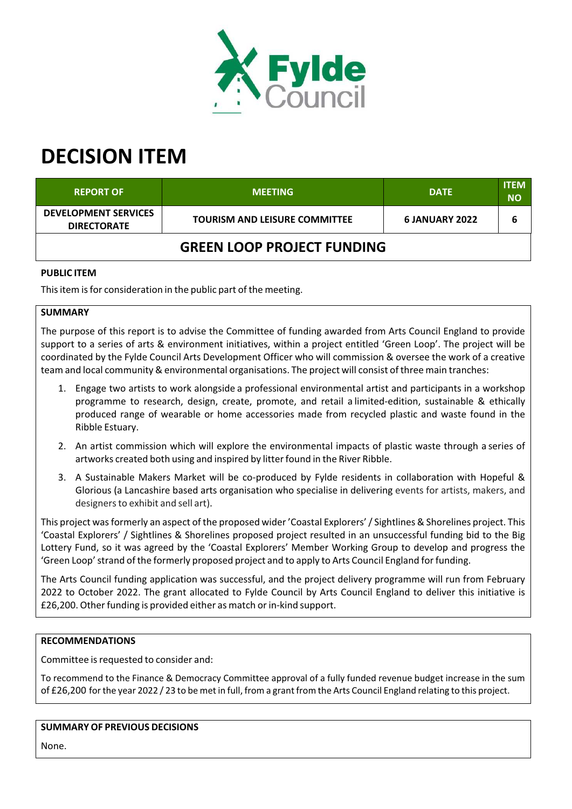

# **DECISION ITEM**

| <b>REPORT OF</b>                                  | <b>MEETING</b>                       | <b>DATE</b>    | <b>ITEM</b><br><b>NO</b> |  |  |
|---------------------------------------------------|--------------------------------------|----------------|--------------------------|--|--|
| <b>DEVELOPMENT SERVICES</b><br><b>DIRECTORATE</b> | <b>TOURISM AND LEISURE COMMITTEE</b> | 6 JANUARY 2022 | b                        |  |  |
| <b>GREEN LOOP PROJECT FUNDING</b>                 |                                      |                |                          |  |  |

# **PUBLIC ITEM**

This item is for consideration in the public part of the meeting.

### **SUMMARY**

The purpose of this report is to advise the Committee of funding awarded from Arts Council England to provide support to a series of arts & environment initiatives, within a project entitled 'Green Loop'. The project will be coordinated by the Fylde Council Arts Development Officer who will commission & oversee the work of a creative team and local community & environmental organisations. The project will consist of three main tranches:

- 1. Engage two artists to work alongside a professional environmental artist and participants in a workshop programme to research, design, create, promote, and retail a limited‐edition, sustainable & ethically produced range of wearable or home accessories made from recycled plastic and waste found in the Ribble Estuary.
- 2. An artist commission which will explore the environmental impacts of plastic waste through a series of artworks created both using and inspired by litter found in the River Ribble.
- 3. A Sustainable Makers Market will be co-produced by Fylde residents in collaboration with Hopeful & Glorious (a Lancashire based arts organisation who specialise in delivering events for artists, makers, and designersto exhibit and sell art).

This project was formerly an aspect of the proposed wider 'Coastal Explorers' / Sightlines & Shorelines project. This 'Coastal Explorers' / Sightlines & Shorelines proposed project resulted in an unsuccessful funding bid to the Big Lottery Fund, so it was agreed by the 'Coastal Explorers' Member Working Group to develop and progress the 'Green Loop'strand of the formerly proposed project and to apply to Arts Council England forfunding.

The Arts Council funding application was successful, and the project delivery programme will run from February 2022 to October 2022. The grant allocated to Fylde Council by Arts Council England to deliver this initiative is £26,200. Other funding is provided either as match or in-kind support.

#### **RECOMMENDATIONS**

Committee is requested to consider and:

To recommend to the Finance & Democracy Committee approval of a fully funded revenue budget increase in the sum of £26,200 forthe year 2022 / 23 to be met in full, from a grant from the Arts Council England relating to this project.

# **SUMMARY OF PREVIOUS DECISIONS**

None.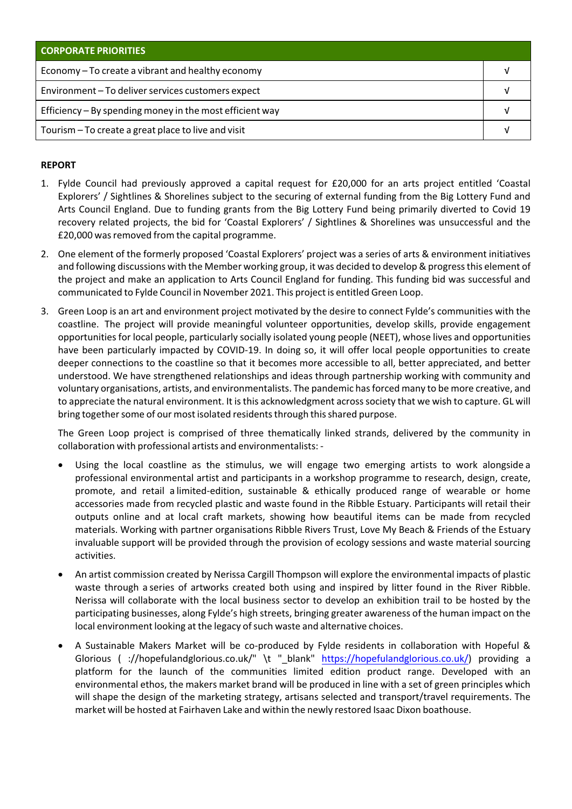| <b>CORPORATE PRIORITIES</b>                              |  |  |
|----------------------------------------------------------|--|--|
| Economy – To create a vibrant and healthy economy        |  |  |
| Environment-To deliver services customers expect         |  |  |
| Efficiency - By spending money in the most efficient way |  |  |
| Tourism - To create a great place to live and visit      |  |  |

## **REPORT**

- 1. Fylde Council had previously approved a capital request for £20,000 for an arts project entitled 'Coastal Explorers' / Sightlines & Shorelines subject to the securing of external funding from the Big Lottery Fund and Arts Council England. Due to funding grants from the Big Lottery Fund being primarily diverted to Covid 19 recovery related projects, the bid for 'Coastal Explorers' / Sightlines & Shorelines was unsuccessful and the £20,000 was removed from the capital programme.
- 2. One element of the formerly proposed 'Coastal Explorers' project was a series of arts & environment initiatives and following discussions with the Member working group, it was decided to develop & progressthis element of the project and make an application to Arts Council England for funding. This funding bid was successful and communicated to Fylde Council in November 2021. This project is entitled Green Loop.
- 3. Green Loop is an art and environment project motivated by the desire to connect Fylde's communities with the coastline. The project will provide meaningful volunteer opportunities, develop skills, provide engagement opportunitiesfor local people, particularly socially isolated young people (NEET), whose lives and opportunities have been particularly impacted by COVID-19. In doing so, it will offer local people opportunities to create deeper connections to the coastline so that it becomes more accessible to all, better appreciated, and better understood. We have strengthened relationships and ideas through partnership working with community and voluntary organisations, artists, and environmentalists. The pandemic hasforced many to be more creative, and to appreciate the natural environment. It isthis acknowledgment acrosssociety that we wish to capture. GL will bring together some of our most isolated residents through this shared purpose.

The Green Loop project is comprised of three thematically linked strands, delivered by the community in collaboration with professional artists and environmentalists: ‐

- Using the local coastline as the stimulus, we will engage two emerging artists to work alongside a professional environmental artist and participants in a workshop programme to research, design, create, promote, and retail a limited‐edition, sustainable & ethically produced range of wearable or home accessories made from recycled plastic and waste found in the Ribble Estuary. Participants will retail their outputs online and at local craft markets, showing how beautiful items can be made from recycled materials. Working with partner organisations Ribble Rivers Trust, Love My Beach & Friends of the Estuary invaluable support will be provided through the provision of ecology sessions and waste material sourcing activities.
- An artist commission created by Nerissa Cargill Thompson will explore the environmental impacts of plastic waste through a series of artworks created both using and inspired by litter found in the River Ribble. Nerissa will collaborate with the local business sector to develop an exhibition trail to be hosted by the participating businesses, along Fylde's high streets, bringing greater awareness of the human impact on the local environment looking at the legacy of such waste and alternative choices.
- A Sustainable Makers Market will be co-produced by Fylde residents in collaboration with Hopeful & Glorious ( ://hopefulandglorious.co.uk/" \t " blank" https://hopefulandglorious.co.uk/) providing a platform for the launch of the communities limited edition product range. Developed with an environmental ethos, the makers market brand will be produced in line with a set of green principles which will shape the design of the marketing strategy, artisans selected and transport/travel requirements. The market will be hosted at Fairhaven Lake and within the newly restored Isaac Dixon boathouse.